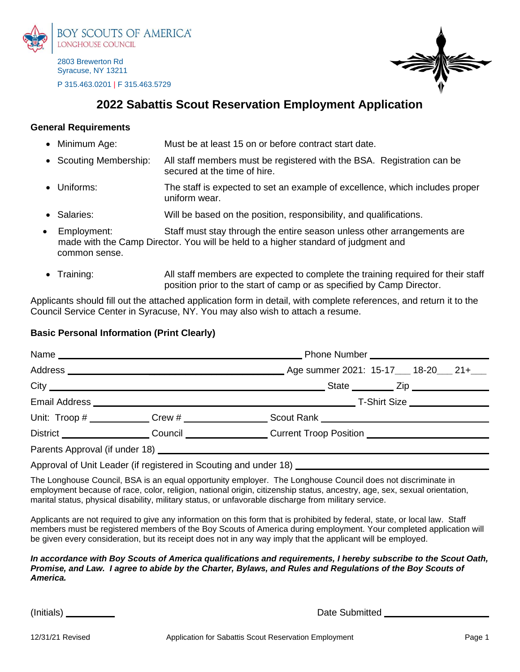

2803 Brewerton Rd Syracuse, NY 13211 P 315.463.0201 | F 315.463.5729



# **2022 Sabattis Scout Reservation Employment Application**

#### **General Requirements**

- Minimum Age: Must be at least 15 on or before contract start date.
- Scouting Membership: All staff members must be registered with the BSA. Registration can be secured at the time of hire.
- Uniforms: The staff is expected to set an example of excellence, which includes proper uniform wear.
- Salaries: Will be based on the position, responsibility, and qualifications.
- Employment: Staff must stay through the entire season unless other arrangements are made with the Camp Director. You will be held to a higher standard of judgment and common sense.
- Training: All staff members are expected to complete the training required for their staff position prior to the start of camp or as specified by Camp Director.

Applicants should fill out the attached application form in detail, with complete references, and return it to the Council Service Center in Syracuse, NY. You may also wish to attach a resume.

## **Basic Personal Information (Print Clearly)**

|  |                                                                                                                                                                                                                                       | _Age summer 2021: 15-17___ 18-20___ 21+___                                                                                                                                       |  |  |  |  |
|--|---------------------------------------------------------------------------------------------------------------------------------------------------------------------------------------------------------------------------------------|----------------------------------------------------------------------------------------------------------------------------------------------------------------------------------|--|--|--|--|
|  |                                                                                                                                                                                                                                       |                                                                                                                                                                                  |  |  |  |  |
|  |                                                                                                                                                                                                                                       |                                                                                                                                                                                  |  |  |  |  |
|  |                                                                                                                                                                                                                                       |                                                                                                                                                                                  |  |  |  |  |
|  |                                                                                                                                                                                                                                       | District <b>District District District District District District District District District District District District District District District District District Distric</b> |  |  |  |  |
|  |                                                                                                                                                                                                                                       |                                                                                                                                                                                  |  |  |  |  |
|  | $\mathbf{A}$ and $\mathbf{A}$ are the contract of the contract of the contract of the contract of the contract of the contract of the contract of the contract of the contract of the contract of the contract of the contract of the |                                                                                                                                                                                  |  |  |  |  |

Approval of Unit Leader (if registered in Scouting and under 18)

The Longhouse Council, BSA is an equal opportunity employer. The Longhouse Council does not discriminate in employment because of race, color, religion, national origin, citizenship status, ancestry, age, sex, sexual orientation, marital status, physical disability, military status, or unfavorable discharge from military service.

Applicants are not required to give any information on this form that is prohibited by federal, state, or local law. Staff members must be registered members of the Boy Scouts of America during employment. Your completed application will be given every consideration, but its receipt does not in any way imply that the applicant will be employed.

*In accordance with Boy Scouts of America qualifications and requirements, I hereby subscribe to the Scout Oath, Promise, and Law. I agree to abide by the Charter, Bylaws, and Rules and Regulations of the Boy Scouts of America.* 

(Initials) and the state of the Submitted Control of the Submitted Control of the Submitted Control of the Submitted Control of the Submitted Control of the Submitted Control of the Submitted Control of the Submitted Contr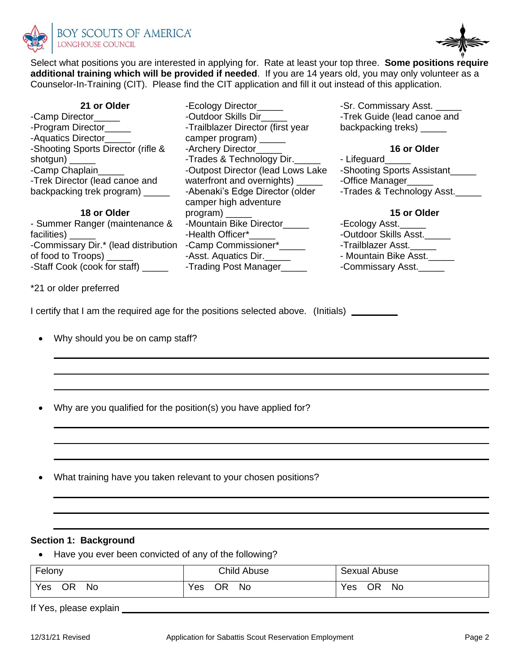



-Sr. Commissary Asst. -Trek Guide (lead canoe and backpacking treks)

-Office Manager\_\_\_\_\_

-Outdoor Skills Asst.\_\_\_\_\_ -Trailblazer Asst.\_\_\_\_\_ - Mountain Bike Asst.\_\_\_\_\_ -Commissary Asst.\_\_\_\_\_

-Ecology Asst.\_\_\_\_\_

- Lifeguard\_\_\_\_\_

**16 or Older**

-Shooting Sports Assistant\_\_\_\_\_

-Trades & Technology Asst.

**15 or Older**

Select what positions you are interested in applying for. Rate at least your top three. **Some positions require additional training which will be provided if needed**. If you are 14 years old, you may only volunteer as a Counselor-In-Training (CIT). Please find the CIT application and fill it out instead of this application.

> -Ecology Director\_\_\_\_\_\_ -Outdoor Skills Dir\_\_\_\_\_

-Trailblazer Director (first year camper program) \_\_\_\_\_ -Archery Director\_\_\_\_\_\_

-Trades & Technology Dir. -Outpost Director (lead Lows Lake waterfront and overnights) -Abenaki's Edge Director (older

-Mountain Bike Director\_\_\_\_\_

-Asst. Aquatics Dir.\_\_\_\_\_

camper high adventure

-Health Officer\*\_\_\_\_\_

**21 or Older** -Camp Director\_\_\_\_\_ -Program Director\_\_\_\_\_ -Aquatics Director\_\_\_\_\_ -Shooting Sports Director (rifle & shotgun) \_ -Camp Chaplain\_\_\_\_\_ -Trek Director (lead canoe and backpacking trek program) \_\_\_\_\_

**18 or Older**

- Summer Ranger (maintenance & facilities) -Commissary Dir.\* (lead distribution -Camp Commissioner\*\_\_\_\_\_ of food to Troops) \_\_\_\_\_ -Staff Cook (cook for staff) \_\_\_\_\_\_ Frading Post Manager\_\_\_\_\_

\*21 or older preferred

I certify that I am the required age for the positions selected above. (Initials)

program) \_\_\_\_\_

- Why should you be on camp staff?
- Why are you qualified for the position(s) you have applied for?
- What training have you taken relevant to your chosen positions?

### **Section 1: Background**

• Have you ever been convicted of any of the following?

| Felony | <b>Child Abuse</b> | Sexual Abuse |
|--------|--------------------|--------------|
| Yes    | $v_{es}$           | Yes          |
| ΟR     | <b>No</b>          | ΟR           |
| No.    | ЭR                 | No           |

If Yes, please explain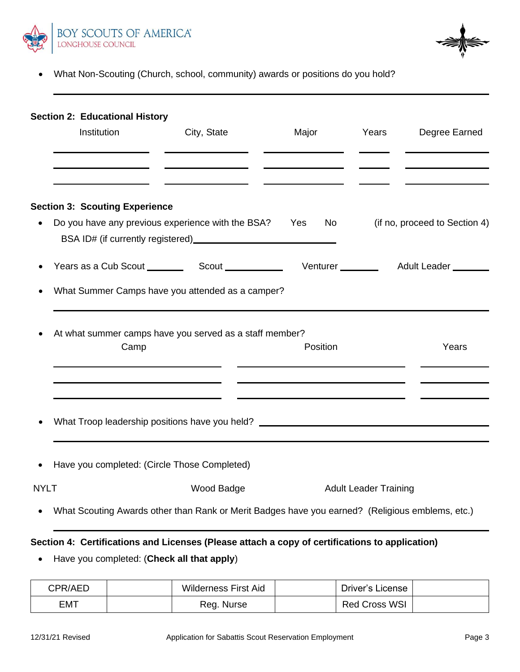

• What Non-Scouting (Church, school, community) awards or positions do you hold?

|             | <b>Section 2: Educational History</b><br>Institution | City, State                                                                                                   | Major Years                                                                                                                                                                                                                    |                              | Degree Earned                 |
|-------------|------------------------------------------------------|---------------------------------------------------------------------------------------------------------------|--------------------------------------------------------------------------------------------------------------------------------------------------------------------------------------------------------------------------------|------------------------------|-------------------------------|
|             | <b>Section 3: Scouting Experience</b>                | Do you have any previous experience with the BSA? Yes                                                         | No control of the North State of the North State of the North State of the North State of the North State of the North State of the North State of the North State of the North State of the North State of the North State of |                              | (if no, proceed to Section 4) |
|             |                                                      | What Summer Camps have you attended as a camper?                                                              |                                                                                                                                                                                                                                |                              |                               |
|             | Camp                                                 | At what summer camps have you served as a staff member?                                                       | Position                                                                                                                                                                                                                       |                              | Years                         |
|             |                                                      | What Troop leadership positions have you held? _________________________________                              |                                                                                                                                                                                                                                |                              |                               |
|             | Have you completed: (Circle Those Completed)         |                                                                                                               |                                                                                                                                                                                                                                |                              |                               |
| <b>NYLT</b> |                                                      | Wood Badge<br>What Scouting Awards other than Rank or Merit Badges have you earned? (Religious emblems, etc.) |                                                                                                                                                                                                                                | <b>Adult Leader Training</b> |                               |

# **Section 4: Certifications and Licenses (Please attach a copy of certifications to application)**

• Have you completed: (**Check all that apply**)

| CPR/AED | <b>Wilderness First Aid</b> | Driver's License |  |
|---------|-----------------------------|------------------|--|
| EMT     | Reg. Nurse                  | Red Cross WSI    |  |